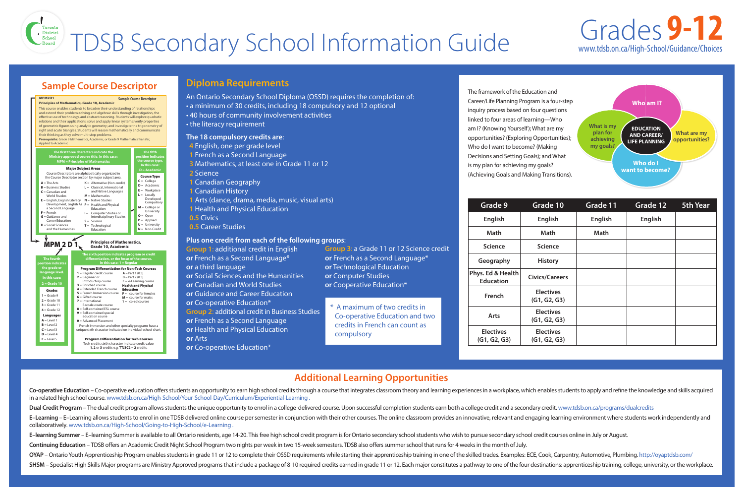## **Additional Learning Opportunities**

The framework of the Education and Career/Life Planning Program is a four-step inquiry process based on four questions linked to four areas of learning—Who am I? (Knowing Yourself); What are my opportunities? (Exploring Opportunities); Who do I want to become? (Making Decisions and Setting Goals); and What is my plan for achieving my goals? (Achieving Goals and Making Transitions).



# TDSB Secondary School Information Guide Grades **9-12**

## **Diploma Requirements**

- 
- An Ontario Secondary School Diploma (OSSD) requires the completion of: • a minimum of 30 credits, including 18 compulsory and 12 optional • 40 hours of community involvement activities • the literacy requirement
- 

**Plus one credit from each of the following groups**: **Group 1**: additional credit in English **or** French as a Second Language\* **or** a third language **or** Social Sciences and the Humanities **or** Canadian and World Studies **or** Guidance and Career Education **or** Co-operative Education\* **Group 2**: additional credit in Business Studies **or** French as a Second Language **or** Health and Physical Education **or** Arts

**or** Co-operative Education\*

Co-operative Education – Co-operative education offers students an opportunity to earn high school credits through a course that integrates classroom theory and learning experiences in a workplace, which enables students t in a related high school course. [www.tdsb.on.ca/High-School/Your-School-Day/Curriculum/Experiential-Learning .](https://tdsb.on.ca/high-school/your-school-day/curriculum/experiential-learning) Dual Credit Program – The dual credit program allows students the unique opportunity to enrol in a college-delivered course. Upon successful completion students earn both a college credit and a secondary credit. www.tdsb.o E-Learning – E-Learning allows students to enrol in one TDSB delivered online course per semester in conjunction with their other courses. The online classroom provides an innovative, relevant and engaging learning environ collaboratively. [www.tdsb.on.ca/High-School/Going-to-High-School/e-Learning .](https://tdsb.on.ca/high-school/going-to-high-school/e-learning) E-learning Summer – E-learning Summer is available to all Ontario residents, age 14-20. This free high school credit program is for Ontario secondary school students who wish to pursue secondary school credit courses onlin **Continuing Education** – TDSB offers an Academic Credit Night School Program two nights per week in two 15-week semesters. TDSB also offers summer school that runs for 4 weeks in the month of July. OYAP – Ontario Youth Apprenticeship Program enables students in grade 11 or 12 to complete their OSSD requirements while starting their apprenticeship training in one of the skilled trades. Examples: ECE, Cook, Carpentry, SHSM – Specialist High Skills Major programs are Ministry Approved programs that include a package of 8-10 required credits earned in grade 11 or 12. Each major constitutes a pathway to one of the four destinations: appren Dual Credit Program – The dual credit program allows students the unique opportunity to enrol in a college-delivered course. Upon successful completion students earn both a college credit and a secondary credit www.tdsh on  $F_{\rm{1}}$ 

**Group 3**: a Grade 11 or 12 Science credit **or** French as a Second Language\* **or** Technological Education **or** Computer Studies **or** Cooperative Education\*

**\*** A maximum of two credits in Co-operative Education and two credits in French can count as compulsory

## **Sample Course Descriptor**

- 
- **The 18 compulsory credits are**: **4** English, one per grade level 4 English, one per grade level **1** French as a Second Language 1 French as a Second Language
- **3** Mathematics, at least one in Grade 11 or 12 3 Mathematics, at least one in Grade 11 or 12
- **2** Science 2 Science
- **1** Canadian Geography
- **1** Canadian History 1 Canadian History
- **1** Arts (dance, drama, media, music, visual arts) **1** Health and Physical Education 1 Arts (dance, drama, media, music, visual arts)
	-
	- **0.5** Civics
- **0.5** Career Studies 0.5 Career Studies





|  | <b>Grade 9</b>                        | Grade 10                         | Grade 11       | Grade 12       | <b>5th Year</b> |
|--|---------------------------------------|----------------------------------|----------------|----------------|-----------------|
|  | <b>English</b>                        | <b>English</b>                   | <b>English</b> | <b>English</b> |                 |
|  | <b>Math</b>                           | <b>Math</b>                      | <b>Math</b>    |                |                 |
|  | <b>Science</b>                        | <b>Science</b>                   |                |                |                 |
|  | Geography                             | <b>History</b>                   |                |                |                 |
|  | Phys. Ed & Health<br><b>Education</b> | <b>Civics/Careers</b>            |                |                |                 |
|  | <b>French</b>                         | <b>Electives</b><br>(G1, G2, G3) |                |                |                 |
|  | <b>Arts</b>                           | <b>Electives</b><br>(G1, G2, G3) |                |                |                 |
|  | <b>Electives</b><br>(G1, G2, G3)      | <b>Electives</b><br>(G1, G2, G3) |                |                |                 |

# www.tdsb.on.ca/High-School/Guidance/Choices